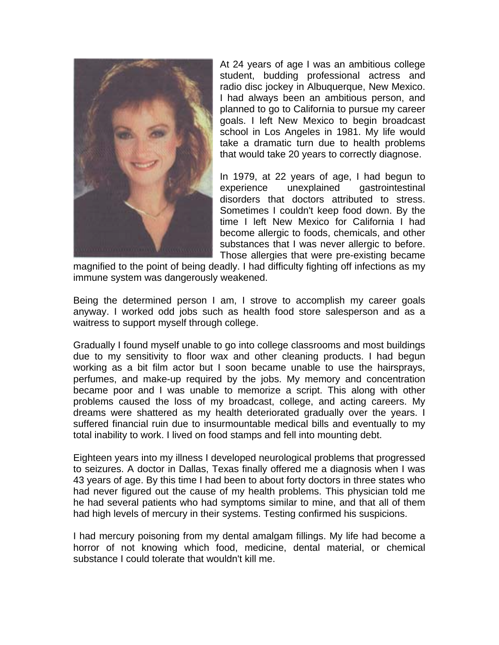

At 24 years of age I was an ambitious college student, budding professional actress and radio disc jockey in Albuquerque, New Mexico. I had always been an ambitious person, and planned to go to California to pursue my career goals. I left New Mexico to begin broadcast school in Los Angeles in 1981. My life would take a dramatic turn due to health problems that would take 20 years to correctly diagnose.

In 1979, at 22 years of age, I had begun to experience unexplained gastrointestinal disorders that doctors attributed to stress. Sometimes I couldn't keep food down. By the time I left New Mexico for California I had become allergic to foods, chemicals, and other substances that I was never allergic to before. Those allergies that were pre-existing became

magnified to the point of being deadly. I had difficulty fighting off infections as my immune system was dangerously weakened.

Being the determined person I am, I strove to accomplish my career goals anyway. I worked odd jobs such as health food store salesperson and as a waitress to support myself through college.

Gradually I found myself unable to go into college classrooms and most buildings due to my sensitivity to floor wax and other cleaning products. I had begun working as a bit film actor but I soon became unable to use the hairsprays, perfumes, and make-up required by the jobs. My memory and concentration became poor and I was unable to memorize a script. This along with other problems caused the loss of my broadcast, college, and acting careers. My dreams were shattered as my health deteriorated gradually over the years. I suffered financial ruin due to insurmountable medical bills and eventually to my total inability to work. I lived on food stamps and fell into mounting debt.

Eighteen years into my illness I developed neurological problems that progressed to seizures. A doctor in Dallas, Texas finally offered me a diagnosis when I was 43 years of age. By this time I had been to about forty doctors in three states who had never figured out the cause of my health problems. This physician told me he had several patients who had symptoms similar to mine, and that all of them had high levels of mercury in their systems. Testing confirmed his suspicions.

I had mercury poisoning from my dental amalgam fillings. My life had become a horror of not knowing which food, medicine, dental material, or chemical substance I could tolerate that wouldn't kill me.